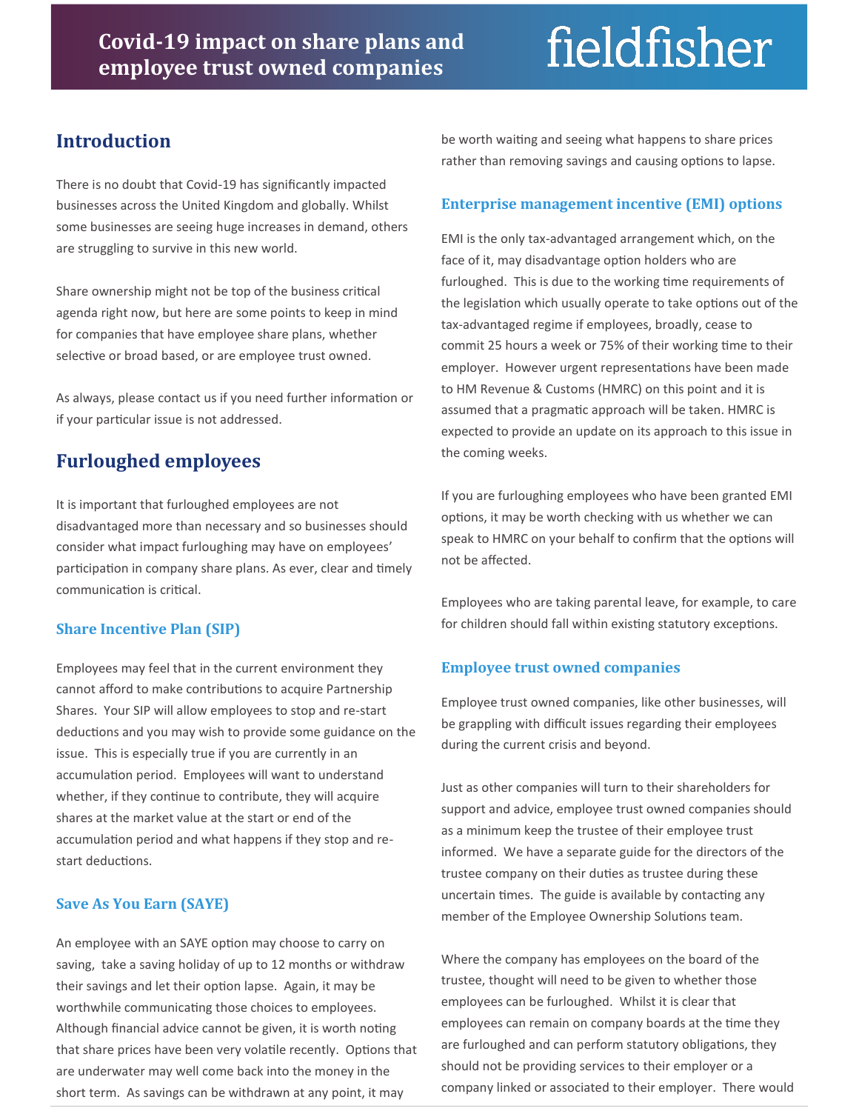# fieldfisher

## **Introduction**

There is no doubt that Covid-19 has significantly impacted businesses across the United Kingdom and globally. Whilst some businesses are seeing huge increases in demand, others are struggling to survive in this new world.

Share ownership might not be top of the business critical agenda right now, but here are some points to keep in mind for companies that have employee share plans, whether selective or broad based, or are employee trust owned.

As always, please contact us if you need further information or if your particular issue is not addressed.

# **Furloughed employees**

It is important that furloughed employees are not disadvantaged more than necessary and so businesses should consider what impact furloughing may have on employees' participation in company share plans. As ever, clear and timely communication is critical.

#### **Share Incentive Plan (SIP)**

Employees may feel that in the current environment they cannot afford to make contributions to acquire Partnership Shares. Your SIP will allow employees to stop and re-start deductions and you may wish to provide some guidance on the issue. This is especially true if you are currently in an accumulation period. Employees will want to understand whether, if they continue to contribute, they will acquire shares at the market value at the start or end of the accumulation period and what happens if they stop and restart deductions.

#### **Save As You Earn (SAYE)**

An employee with an SAYE option may choose to carry on saving, take a saving holiday of up to 12 months or withdraw their savings and let their option lapse. Again, it may be worthwhile communicating those choices to employees. Although financial advice cannot be given, it is worth noting that share prices have been very volatile recently. Options that are underwater may well come back into the money in the short term. As savings can be withdrawn at any point, it may

be worth waiting and seeing what happens to share prices rather than removing savings and causing options to lapse.

#### **Enterprise management incentive (EMI) options**

EMI is the only tax-advantaged arrangement which, on the face of it, may disadvantage option holders who are furloughed. This is due to the working time requirements of the legislation which usually operate to take options out of the tax-advantaged regime if employees, broadly, cease to commit 25 hours a week or 75% of their working time to their employer. However urgent representations have been made to HM Revenue & Customs (HMRC) on this point and it is assumed that a pragmatic approach will be taken. HMRC is expected to provide an update on its approach to this issue in the coming weeks.

If you are furloughing employees who have been granted EMI options, it may be worth checking with us whether we can speak to HMRC on your behalf to confirm that the options will not be affected.

Employees who are taking parental leave, for example, to care for children should fall within existing statutory exceptions.

#### **Employee trust owned companies**

Employee trust owned companies, like other businesses, will be grappling with difficult issues regarding their employees during the current crisis and beyond.

Just as other companies will turn to their shareholders for support and advice, employee trust owned companies should as a minimum keep the trustee of their employee trust informed. We have a separate guide for the directors of the trustee company on their duties as trustee during these uncertain times. The guide is available by contacting any member of the Employee Ownership Solutions team.

Where the company has employees on the board of the trustee, thought will need to be given to whether those employees can be furloughed. Whilst it is clear that employees can remain on company boards at the time they are furloughed and can perform statutory obligations, they should not be providing services to their employer or a company linked or associated to their employer. There would